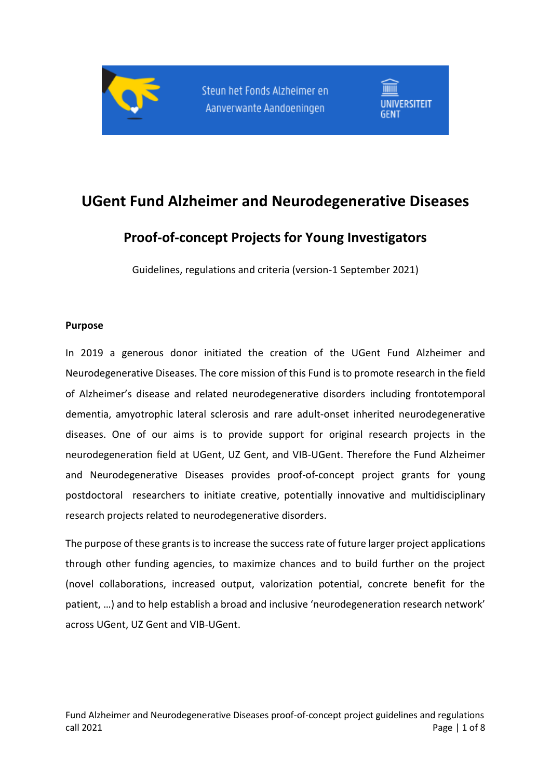



# **UGent Fund Alzheimer and Neurodegenerative Diseases**

## **Proof-of-concept Projects for Young Investigators**

Guidelines, regulations and criteria (version-1 September 2021)

#### **Purpose**

In 2019 a generous donor initiated the creation of the UGent Fund Alzheimer and Neurodegenerative Diseases. The core mission of this Fund is to promote research in the field of Alzheimer's disease and related neurodegenerative disorders including frontotemporal dementia, amyotrophic lateral sclerosis and rare adult-onset inherited neurodegenerative diseases. One of our aims is to provide support for original research projects in the neurodegeneration field at UGent, UZ Gent, and VIB-UGent. Therefore the Fund Alzheimer and Neurodegenerative Diseases provides proof-of-concept project grants for young postdoctoral researchers to initiate creative, potentially innovative and multidisciplinary research projects related to neurodegenerative disorders.

The purpose of these grants is to increase the success rate of future larger project applications through other funding agencies, to maximize chances and to build further on the project (novel collaborations, increased output, valorization potential, concrete benefit for the patient, …) and to help establish a broad and inclusive 'neurodegeneration research network' across UGent, UZ Gent and VIB-UGent.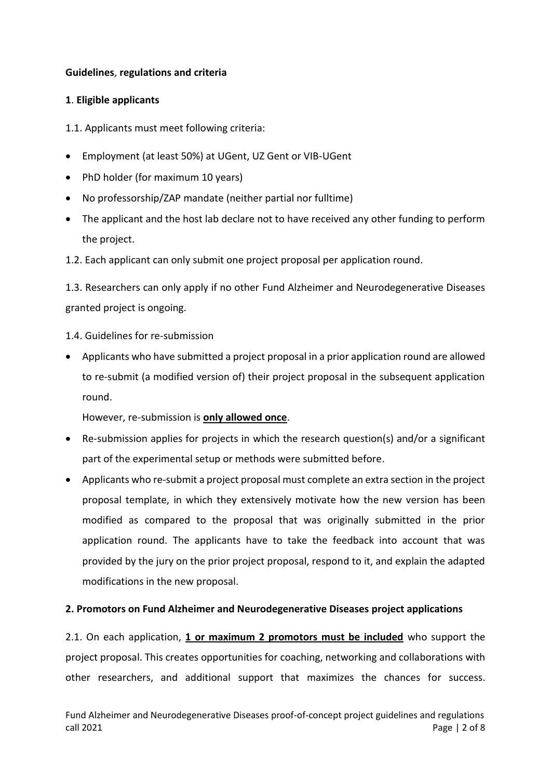## **Guidelines**, **regulations and criteria**

## **1**. **Eligible applicants**

1.1. Applicants must meet following criteria:

- Employment (at least 50%) at UGent, UZ Gent or VIB-UGent
- PhD holder (for maximum 10 years)
- No professorship/ZAP mandate (neither partial nor fulltime)
- The applicant and the host lab declare not to have received any other funding to perform the project.
- 1.2. Each applicant can only submit one project proposal per application round.

1.3. Researchers can only apply if no other Fund Alzheimer and Neurodegenerative Diseases granted project is ongoing.

- 1.4. Guidelines for re-submission
- Applicants who have submitted a project proposal in a prior application round are allowed to re-submit (a modified version of) their project proposal in the subsequent application round.

However, re-submission is **only allowed once**.

- Re-submission applies for projects in which the research question(s) and/or a significant part of the experimental setup or methods were submitted before.
- Applicants who re-submit a project proposal must complete an extra section in the project proposal template, in which they extensively motivate how the new version has been modified as compared to the proposal that was originally submitted in the prior application round. The applicants have to take the feedback into account that was provided by the jury on the prior project proposal, respond to it, and explain the adapted modifications in the new proposal.

## **2. Promotors on Fund Alzheimer and Neurodegenerative Diseases project applications**

2.1. On each application, **1 or maximum 2 promotors must be included** who support the project proposal. This creates opportunities for coaching, networking and collaborations with other researchers, and additional support that maximizes the chances for success.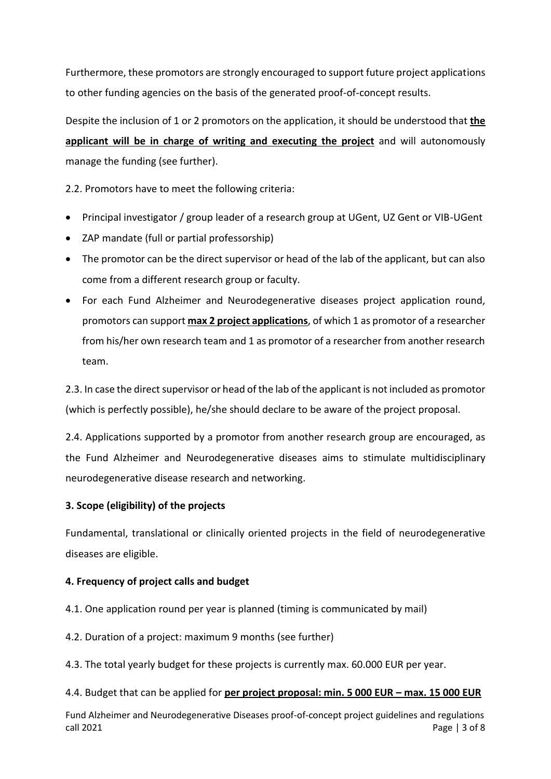Furthermore, these promotors are strongly encouraged to support future project applications to other funding agencies on the basis of the generated proof-of-concept results.

Despite the inclusion of 1 or 2 promotors on the application, it should be understood that **the applicant will be in charge of writing and executing the project** and will autonomously manage the funding (see further).

2.2. Promotors have to meet the following criteria:

- Principal investigator / group leader of a research group at UGent, UZ Gent or VIB-UGent
- ZAP mandate (full or partial professorship)
- The promotor can be the direct supervisor or head of the lab of the applicant, but can also come from a different research group or faculty.
- For each Fund Alzheimer and Neurodegenerative diseases project application round, promotors can support **max 2 project applications**, of which 1 as promotor of a researcher from his/her own research team and 1 as promotor of a researcher from another research team.

2.3. In case the direct supervisor or head of the lab of the applicant is not included as promotor (which is perfectly possible), he/she should declare to be aware of the project proposal.

2.4. Applications supported by a promotor from another research group are encouraged, as the Fund Alzheimer and Neurodegenerative diseases aims to stimulate multidisciplinary neurodegenerative disease research and networking.

## **3. Scope (eligibility) of the projects**

Fundamental, translational or clinically oriented projects in the field of neurodegenerative diseases are eligible.

## **4. Frequency of project calls and budget**

- 4.1. One application round per year is planned (timing is communicated by mail)
- 4.2. Duration of a project: maximum 9 months (see further)
- 4.3. The total yearly budget for these projects is currently max. 60.000 EUR per year.

#### 4.4. Budget that can be applied for **per project proposal: min. 5 000 EUR – max. 15 000 EUR**

Fund Alzheimer and Neurodegenerative Diseases proof-of-concept project guidelines and regulations call 2021 **Page | 3 of 8**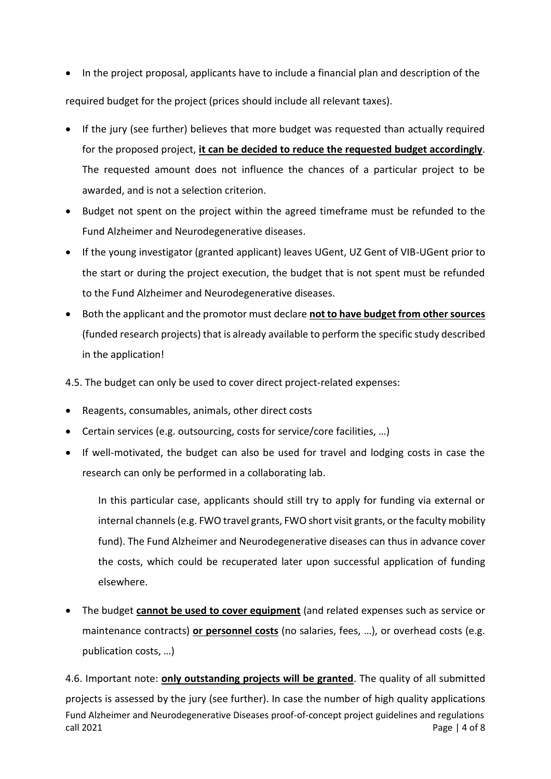- In the project proposal, applicants have to include a financial plan and description of the required budget for the project (prices should include all relevant taxes).
- If the jury (see further) believes that more budget was requested than actually required for the proposed project, **it can be decided to reduce the requested budget accordingly**. The requested amount does not influence the chances of a particular project to be awarded, and is not a selection criterion.
- Budget not spent on the project within the agreed timeframe must be refunded to the Fund Alzheimer and Neurodegenerative diseases.
- If the young investigator (granted applicant) leaves UGent, UZ Gent of VIB-UGent prior to the start or during the project execution, the budget that is not spent must be refunded to the Fund Alzheimer and Neurodegenerative diseases.
- Both the applicant and the promotor must declare **not to have budget from other sources** (funded research projects) that is already available to perform the specific study described in the application!

4.5. The budget can only be used to cover direct project-related expenses:

- Reagents, consumables, animals, other direct costs
- Certain services (e.g. outsourcing, costs for service/core facilities, …)
- If well-motivated, the budget can also be used for travel and lodging costs in case the research can only be performed in a collaborating lab.

In this particular case, applicants should still try to apply for funding via external or internal channels (e.g. FWO travel grants, FWO short visit grants, or the faculty mobility fund). The Fund Alzheimer and Neurodegenerative diseases can thus in advance cover the costs, which could be recuperated later upon successful application of funding elsewhere.

 The budget **cannot be used to cover equipment** (and related expenses such as service or maintenance contracts) **or personnel costs** (no salaries, fees, …), or overhead costs (e.g. publication costs, …)

Fund Alzheimer and Neurodegenerative Diseases proof-of-concept project guidelines and regulations call 2021 **Page | 4 of 8** 4.6. Important note: **only outstanding projects will be granted**. The quality of all submitted projects is assessed by the jury (see further). In case the number of high quality applications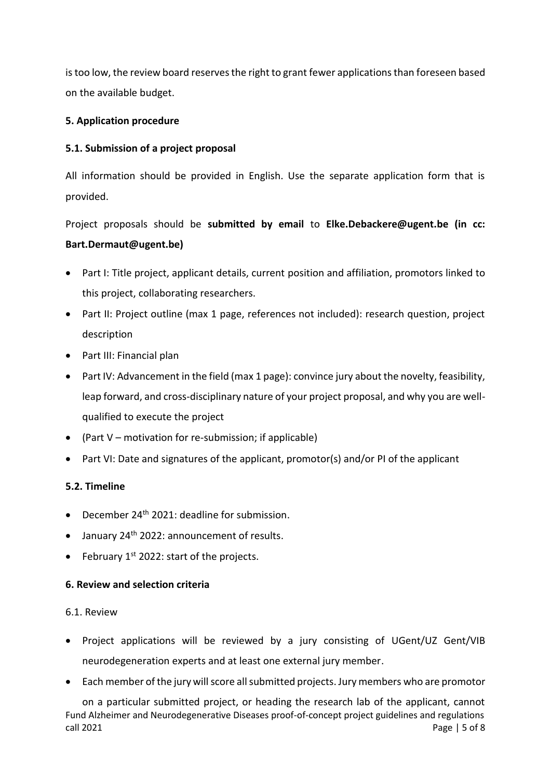is too low, the review board reserves the right to grant fewer applications than foreseen based on the available budget.

## **5. Application procedure**

## **5.1. Submission of a project proposal**

All information should be provided in English. Use the separate application form that is provided.

Project proposals should be **submitted by email** to **Elke.Debackere@ugent.be (in cc: Bart.Dermaut@ugent.be)**

- Part I: Title project, applicant details, current position and affiliation, promotors linked to this project, collaborating researchers.
- Part II: Project outline (max 1 page, references not included): research question, project description
- Part III: Financial plan
- Part IV: Advancement in the field (max 1 page): convince jury about the novelty, feasibility, leap forward, and cross-disciplinary nature of your project proposal, and why you are wellqualified to execute the project
- (Part  $V$  motivation for re-submission; if applicable)
- Part VI: Date and signatures of the applicant, promotor(s) and/or PI of the applicant

## **5.2. Timeline**

- $\bullet$  December 24<sup>th</sup> 2021: deadline for submission.
- $\bullet$  January 24<sup>th</sup> 2022: announcement of results.
- February  $1^{st}$  2022: start of the projects.

## **6. Review and selection criteria**

#### 6.1. Review

- Project applications will be reviewed by a jury consisting of UGent/UZ Gent/VIB neurodegeneration experts and at least one external jury member.
- Each member of the jury will score all submitted projects. Jury members who are promotor

Fund Alzheimer and Neurodegenerative Diseases proof-of-concept project guidelines and regulations call 2021 **Page | 5 of 8** on a particular submitted project, or heading the research lab of the applicant, cannot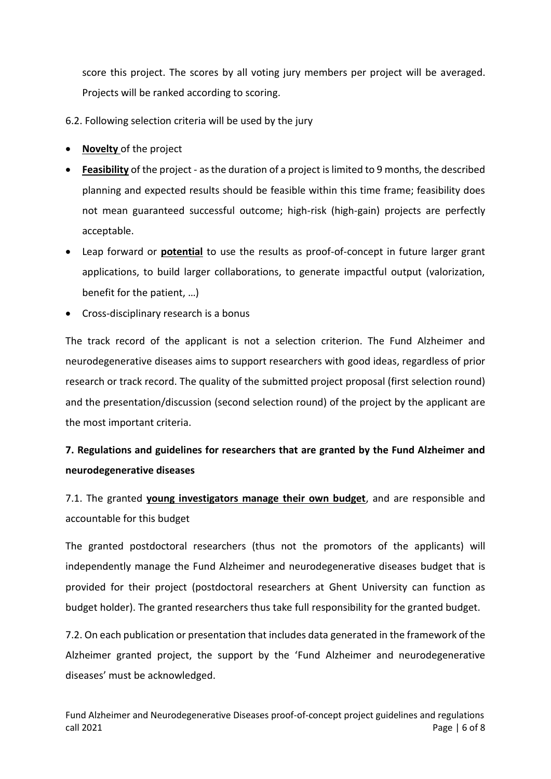score this project. The scores by all voting jury members per project will be averaged. Projects will be ranked according to scoring.

6.2. Following selection criteria will be used by the jury

- **Novelty** of the project
- **Feasibility** of the project as the duration of a project is limited to 9 months, the described planning and expected results should be feasible within this time frame; feasibility does not mean guaranteed successful outcome; high-risk (high-gain) projects are perfectly acceptable.
- Leap forward or **potential** to use the results as proof-of-concept in future larger grant applications, to build larger collaborations, to generate impactful output (valorization, benefit for the patient, …)
- Cross-disciplinary research is a bonus

The track record of the applicant is not a selection criterion. The Fund Alzheimer and neurodegenerative diseases aims to support researchers with good ideas, regardless of prior research or track record. The quality of the submitted project proposal (first selection round) and the presentation/discussion (second selection round) of the project by the applicant are the most important criteria.

## **7. Regulations and guidelines for researchers that are granted by the Fund Alzheimer and neurodegenerative diseases**

7.1. The granted **young investigators manage their own budget**, and are responsible and accountable for this budget

The granted postdoctoral researchers (thus not the promotors of the applicants) will independently manage the Fund Alzheimer and neurodegenerative diseases budget that is provided for their project (postdoctoral researchers at Ghent University can function as budget holder). The granted researchers thus take full responsibility for the granted budget.

7.2. On each publication or presentation that includes data generated in the framework of the Alzheimer granted project, the support by the 'Fund Alzheimer and neurodegenerative diseases' must be acknowledged.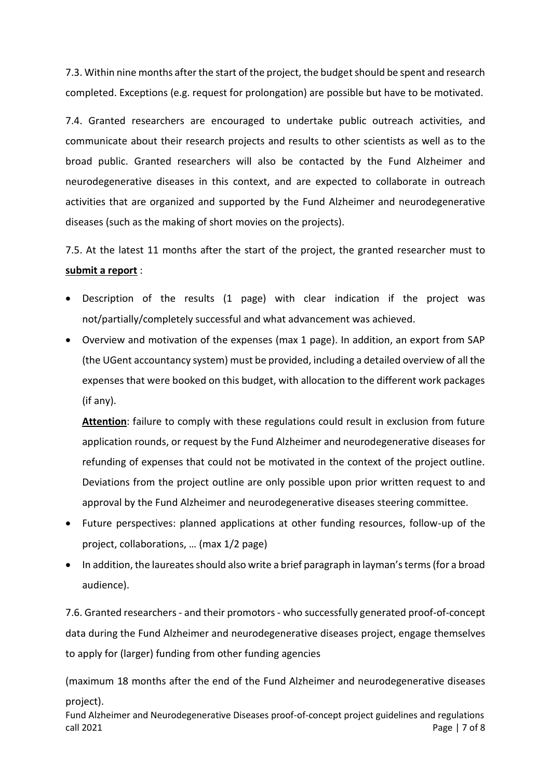7.3. Within nine months after the start of the project, the budget should be spent and research completed. Exceptions (e.g. request for prolongation) are possible but have to be motivated.

7.4. Granted researchers are encouraged to undertake public outreach activities, and communicate about their research projects and results to other scientists as well as to the broad public. Granted researchers will also be contacted by the Fund Alzheimer and neurodegenerative diseases in this context, and are expected to collaborate in outreach activities that are organized and supported by the Fund Alzheimer and neurodegenerative diseases (such as the making of short movies on the projects).

7.5. At the latest 11 months after the start of the project, the granted researcher must to **submit a report** :

- Description of the results (1 page) with clear indication if the project was not/partially/completely successful and what advancement was achieved.
- Overview and motivation of the expenses (max 1 page). In addition, an export from SAP (the UGent accountancy system) must be provided, including a detailed overview of all the expenses that were booked on this budget, with allocation to the different work packages (if any).

**Attention**: failure to comply with these regulations could result in exclusion from future application rounds, or request by the Fund Alzheimer and neurodegenerative diseases for refunding of expenses that could not be motivated in the context of the project outline. Deviations from the project outline are only possible upon prior written request to and approval by the Fund Alzheimer and neurodegenerative diseases steering committee.

- Future perspectives: planned applications at other funding resources, follow-up of the project, collaborations, … (max 1/2 page)
- In addition, the laureates should also write a brief paragraph in layman's terms (for a broad audience).

7.6. Granted researchers - and their promotors - who successfully generated proof-of-concept data during the Fund Alzheimer and neurodegenerative diseases project, engage themselves to apply for (larger) funding from other funding agencies

(maximum 18 months after the end of the Fund Alzheimer and neurodegenerative diseases project).

Fund Alzheimer and Neurodegenerative Diseases proof-of-concept project guidelines and regulations call 2021 **Page | 7 of 8**